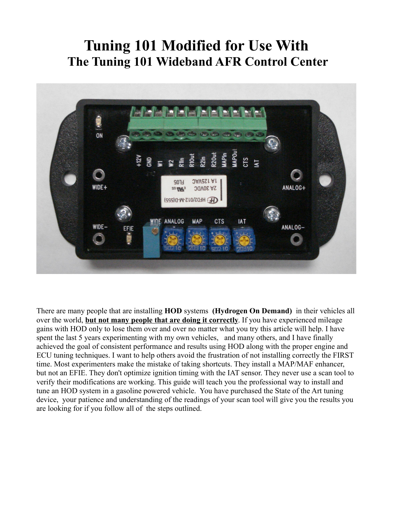# **Tuning 101 Modified for Use With The Tuning 101 Wideband AFR Control Center**



There are many people that are installing **HOD** systems **(Hydrogen On Demand)** in their vehicles all over the world, **but not many people that are doing it correctly**. If you have experienced mileage gains with HOD only to lose them over and over no matter what you try this article will help. I have spent the last 5 years experimenting with my own vehicles, and many others, and I have finally achieved the goal of consistent performance and results using HOD along with the proper engine and ECU tuning techniques. I want to help others avoid the frustration of not installing correctly the FIRST time. Most experimenters make the mistake of taking shortcuts. They install a MAP/MAF enhancer, but not an EFIE. They don't optimize ignition timing with the IAT sensor. They never use a scan tool to verify their modifications are working. This guide will teach you the professional way to install and tune an HOD system in a gasoline powered vehicle. You have purchased the State of the Art tuning device, your patience and understanding of the readings of your scan tool will give you the results you are looking for if you follow all of the steps outlined.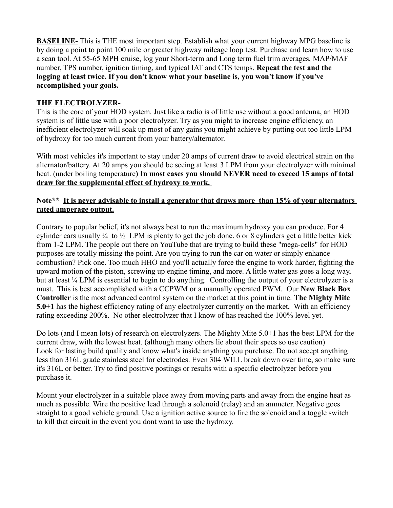**BASELINE-** This is THE most important step. Establish what your current highway MPG baseline is by doing a point to point 100 mile or greater highway mileage loop test. Purchase and learn how to use a scan tool. At 55-65 MPH cruise, log your Short-term and Long term fuel trim averages, MAP/MAF number, TPS number, ignition timing, and typical IAT and CTS temps. **Repeat the test and the logging at least twice. If you don't know what your baseline is, you won't know if you've accomplished your goals.**

## **THE ELECTROLYZER-**

This is the core of your HOD system. Just like a radio is of little use without a good antenna, an HOD system is of little use with a poor electrolyzer. Try as you might to increase engine efficiency, an inefficient electrolyzer will soak up most of any gains you might achieve by putting out too little LPM of hydroxy for too much current from your battery/alternator.

With most vehicles it's important to stay under 20 amps of current draw to avoid electrical strain on the alternator/battery. At 20 amps you should be seeing at least 3 LPM from your electrolyzer with minimal heat. (under boiling temperature**) In most cases you should NEVER need to exceed 15 amps of total draw for the supplemental effect of hydroxy to work.** 

#### **Note\*\* It is never advisable to install a generator that draws more than 15% of your alternators rated amperage output.**

Contrary to popular belief, it's not always best to run the maximum hydroxy you can produce. For 4 cylinder cars usually  $\frac{1}{4}$  to  $\frac{1}{2}$  LPM is plenty to get the job done. 6 or 8 cylinders get a little better kick from 1-2 LPM. The people out there on YouTube that are trying to build these "mega-cells" for HOD purposes are totally missing the point. Are you trying to run the car on water or simply enhance combustion? Pick one. Too much HHO and you'll actually force the engine to work harder, fighting the upward motion of the piston, screwing up engine timing, and more. A little water gas goes a long way, but at least ¼ LPM is essential to begin to do anything. Controlling the output of your electrolyzer is a must. This is best accomplished with a CCPWM or a manually operated PWM. Our **New Black Box Controller** is the most advanced control system on the market at this point in time. **The Mighty Mite 5.0+1** has the highest efficiency rating of any electrolyzer currently on the market, With an efficiency rating exceeding 200%. No other electrolyzer that I know of has reached the 100% level yet.

Do lots (and I mean lots) of research on electrolyzers. The Mighty Mite 5.0+1 has the best LPM for the current draw, with the lowest heat. (although many others lie about their specs so use caution) Look for lasting build quality and know what's inside anything you purchase. Do not accept anything less than 316L grade stainless steel for electrodes. Even 304 WILL break down over time, so make sure it's 316L or better. Try to find positive postings or results with a specific electrolyzer before you purchase it.

Mount your electrolyzer in a suitable place away from moving parts and away from the engine heat as much as possible. Wire the positive lead through a solenoid (relay) and an ammeter. Negative goes straight to a good vehicle ground. Use a ignition active source to fire the solenoid and a toggle switch to kill that circuit in the event you dont want to use the hydroxy.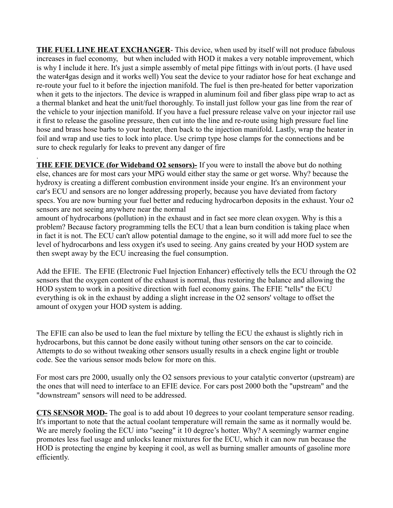**THE FUEL LINE HEAT EXCHANGER**- This device, when used by itself will not produce fabulous increases in fuel economy, but when included with HOD it makes a very notable improvement, which is why I include it here. It's just a simple assembly of metal pipe fittings with in/out ports. (I have used the water4gas design and it works well) You seat the device to your radiator hose for heat exchange and re-route your fuel to it before the injection manifold. The fuel is then pre-heated for better vaporization when it gets to the injectors. The device is wrapped in aluminum foil and fiber glass pipe wrap to act as a thermal blanket and heat the unit/fuel thoroughly. To install just follow your gas line from the rear of the vehicle to your injection manifold. If you have a fuel pressure release valve on your injector rail use it first to release the gasoline pressure, then cut into the line and re-route using high pressure fuel line hose and brass hose barbs to your heater, then back to the injection manifold. Lastly, wrap the heater in foil and wrap and use ties to lock into place. Use crimp type hose clamps for the connections and be sure to check regularly for leaks to prevent any danger of fire

. **THE EFIE DEVICE (for Wideband O2 sensors)**- If you were to install the above but do nothing else, chances are for most cars your MPG would either stay the same or get worse. Why? because the hydroxy is creating a different combustion environment inside your engine. It's an environment your car's ECU and sensors are no longer addressing properly, because you have deviated from factory specs. You are now burning your fuel better and reducing hydrocarbon deposits in the exhaust. Your o2 sensors are not seeing anywhere near the normal

amount of hydrocarbons (pollution) in the exhaust and in fact see more clean oxygen. Why is this a problem? Because factory programming tells the ECU that a lean burn condition is taking place when in fact it is not. The ECU can't allow potential damage to the engine, so it will add more fuel to see the level of hydrocarbons and less oxygen it's used to seeing. Any gains created by your HOD system are then swept away by the ECU increasing the fuel consumption.

Add the EFIE. The EFIE (Electronic Fuel Injection Enhancer) effectively tells the ECU through the O2 sensors that the oxygen content of the exhaust is normal, thus restoring the balance and allowing the HOD system to work in a positive direction with fuel economy gains. The EFIE "tells" the ECU everything is ok in the exhaust by adding a slight increase in the O2 sensors' voltage to offset the amount of oxygen your HOD system is adding.

The EFIE can also be used to lean the fuel mixture by telling the ECU the exhaust is slightly rich in hydrocarbons, but this cannot be done easily without tuning other sensors on the car to coincide. Attempts to do so without tweaking other sensors usually results in a check engine light or trouble code. See the various sensor mods below for more on this.

For most cars pre 2000, usually only the O2 sensors previous to your catalytic convertor (upstream) are the ones that will need to interface to an EFIE device. For cars post 2000 both the "upstream" and the "downstream" sensors will need to be addressed.

**CTS SENSOR MOD-** The goal is to add about 10 degrees to your coolant temperature sensor reading. It's important to note that the actual coolant temperature will remain the same as it normally would be. We are merely fooling the ECU into "seeing" it 10 degree's hotter. Why? A seemingly warmer engine promotes less fuel usage and unlocks leaner mixtures for the ECU, which it can now run because the HOD is protecting the engine by keeping it cool, as well as burning smaller amounts of gasoline more efficiently.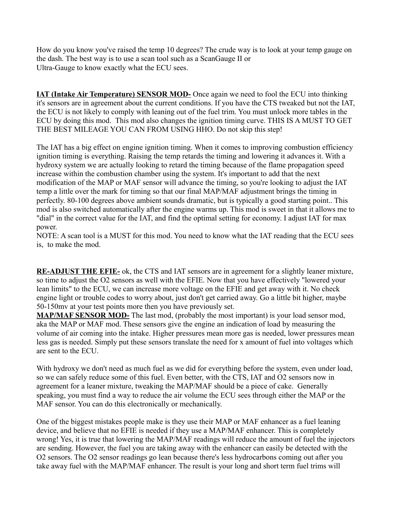How do you know you've raised the temp 10 degrees? The crude way is to look at your temp gauge on the dash. The best way is to use a scan tool such as a ScanGauge II or Ultra-Gauge to know exactly what the ECU sees.

**IAT (Intake Air Temperature) SENSOR MOD-** Once again we need to fool the ECU into thinking it's sensors are in agreement about the current conditions. If you have the CTS tweaked but not the IAT, the ECU is not likely to comply with leaning out of the fuel trim. You must unlock more tables in the ECU by doing this mod. This mod also changes the ignition timing curve. THIS IS A MUST TO GET THE BEST MILEAGE YOU CAN FROM USING HHO. Do not skip this step!

The IAT has a big effect on engine ignition timing. When it comes to improving combustion efficiency ignition timing is everything. Raising the temp retards the timing and lowering it advances it. With a hydroxy system we are actually looking to retard the timing because of the flame propagation speed increase within the combustion chamber using the system. It's important to add that the next modification of the MAP or MAF sensor will advance the timing, so you're looking to adjust the IAT temp a little over the mark for timing so that our final MAP/MAF adjustment brings the timing in perfectly. 80-100 degrees above ambient sounds dramatic, but is typically a good starting point.. This mod is also switched automatically after the engine warms up. This mod is sweet in that it allows me to "dial" in the correct value for the IAT, and find the optimal setting for economy. I adjust IAT for max power.

NOTE: A scan tool is a MUST for this mod. You need to know what the IAT reading that the ECU sees is, to make the mod.

**RE-ADJUST THE EFIE-** ok, the CTS and IAT sensors are in agreement for a slightly leaner mixture, so time to adjust the O2 sensors as well with the EFIE. Now that you have effectively "lowered your lean limits" to the ECU, we can increase more voltage on the EFIE and get away with it. No check engine light or trouble codes to worry about, just don't get carried away. Go a little bit higher, maybe 50-150mv at your test points more then you have previously set.

**MAP/MAF SENSOR MOD-** The last mod, (probably the most important) is your load sensor mod, aka the MAP or MAF mod. These sensors give the engine an indication of load by measuring the volume of air coming into the intake. Higher pressures mean more gas is needed, lower pressures mean less gas is needed. Simply put these sensors translate the need for x amount of fuel into voltages which are sent to the ECU.

With hydroxy we don't need as much fuel as we did for everything before the system, even under load, so we can safely reduce some of this fuel. Even better, with the CTS, IAT and O2 sensors now in agreement for a leaner mixture, tweaking the MAP/MAF should be a piece of cake. Generally speaking, you must find a way to reduce the air volume the ECU sees through either the MAP or the MAF sensor. You can do this electronically or mechanically.

One of the biggest mistakes people make is they use their MAP or MAF enhancer as a fuel leaning device, and believe that no EFIE is needed if they use a MAP/MAF enhancer. This is completely wrong! Yes, it is true that lowering the MAP/MAF readings will reduce the amount of fuel the injectors are sending. However, the fuel you are taking away with the enhancer can easily be detected with the O2 sensors. The O2 sensor readings go lean because there's less hydrocarbons coming out after you take away fuel with the MAP/MAF enhancer. The result is your long and short term fuel trims will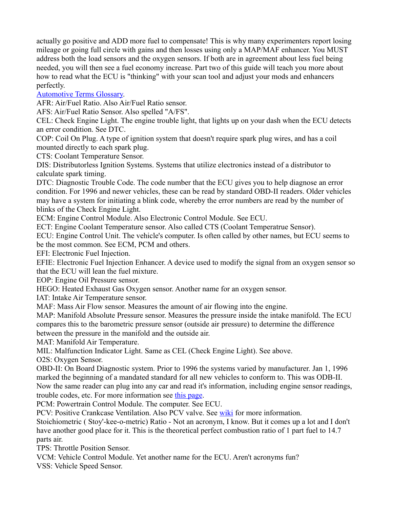actually go positive and ADD more fuel to compensate! This is why many experimenters report losing mileage or going full circle with gains and then losses using only a MAP/MAF enhancer. You MUST address both the load sensors and the oxygen sensors. If both are in agreement about less fuel being needed, you will then see a fuel economy increase. Part two of this guide will teach you more about how to read what the ECU is "thinking" with your scan tool and adjust your mods and enhancers perfectly.

## [Automotive Terms Glossary.](http://www.autozone.com/autozone/repairinfo/common/repairInfoMain.jsp?leftNavPage=glossary&targetPage=glossaryNavigation)

AFR: Air/Fuel Ratio. Also Air/Fuel Ratio sensor.

AFS: Air/Fuel Ratio Sensor. Also spelled "A/FS".

CEL: Check Engine Light. The engine trouble light, that lights up on your dash when the ECU detects an error condition. See DTC.

COP: Coil On Plug. A type of ignition system that doesn't require spark plug wires, and has a coil mounted directly to each spark plug.

CTS: Coolant Temperature Sensor.

DIS: Distributorless Ignition Systems. Systems that utilize electronics instead of a distributor to calculate spark timing.

DTC: Diagnostic Trouble Code. The code number that the ECU gives you to help diagnose an error condition. For 1996 and newer vehicles, these can be read by standard OBD-II readers. Older vehicles may have a system for initiating a blink code, whereby the error numbers are read by the number of blinks of the Check Engine Light.

ECM: Engine Control Module. Also Electronic Control Module. See ECU.

ECT: Engine Coolant Temperature sensor. Also called CTS (Coolant Temperatrue Sensor).

ECU: Engine Control Unit. The vehicle's computer. Is often called by other names, but ECU seems to be the most common. See ECM, PCM and others.

EFI: Electronic Fuel Injection.

EFIE: Electronic Fuel Injection Enhancer. A device used to modify the signal from an oxygen sensor so that the ECU will lean the fuel mixture.

EOP: Engine Oil Pressure sensor.

HEGO: Heated Exhaust Gas Oxygen sensor. Another name for an oxygen sensor.

IAT: Intake Air Temperature sensor.

MAF: Mass Air Flow sensor. Measures the amount of air flowing into the engine.

MAP: Manifold Absolute Pressure sensor. Measures the pressure inside the intake manifold. The ECU compares this to the barometric pressure sensor (outside air pressure) to determine the difference between the pressure in the manifold and the outside air.

MAT: Manifold Air Temperature.

MIL: Malfunction Indicator Light. Same as CEL (Check Engine Light). See above.

O2S: Oxygen Sensor.

OBD-II: On Board Diagnostic system. Prior to 1996 the systems varied by manufacturer. Jan 1, 1996 marked the beginning of a mandated standard for all new vehicles to conform to. This was ODB-II. Now the same reader can plug into any car and read it's information, including engine sensor readings, trouble codes, etc. For more information see [this page.](http://www.obdii.com/background.html)

PCM: Powertrain Control Module. The computer. See ECU.

PCV: Positive Crankcase Ventilation. Also PCV valve. See [wiki](http://en.wikipedia.org/wiki/PCV_valve) for more information.

Stoichiometric ( Stoy'-kee-o-metric) Ratio - Not an acronym, I know. But it comes up a lot and I don't have another good place for it. This is the theoretical perfect combustion ratio of 1 part fuel to 14.7 parts air.

TPS: Throttle Position Sensor.

VCM: Vehicle Control Module. Yet another name for the ECU. Aren't acronyms fun? VSS: Vehicle Speed Sensor.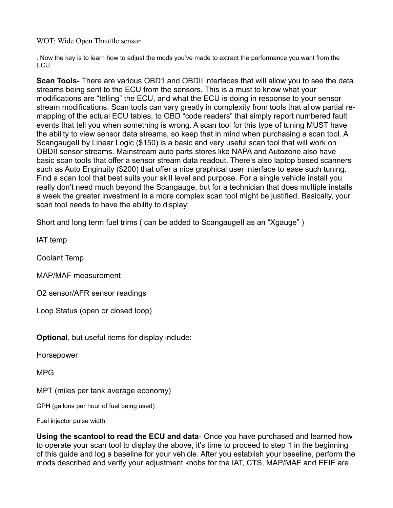WOT: Wide Open Throttle sensor.

. Now the key is to learn how to adjust the mods you've made to extract the performance you want from the ECU.

**Scan Tools-** There are various OBD1 and OBDII interfaces that will allow you to see the data streams being sent to the ECU from the sensors. This is a must to know what your modifications are "telling" the ECU, and what the ECU is doing in response to your sensor stream modifications. Scan tools can vary greatly in complexity from tools that allow partial remapping of the actual ECU tables, to OBD "code readers" that simply report numbered fault events that tell you when something is wrong. A scan tool for this type of tuning MUST have the ability to view sensor data streams, so keep that in mind when purchasing a scan tool. A ScangaugeII by Linear Logic (\$150) is a basic and very useful scan tool that will work on OBDII sensor streams. Mainstream auto parts stores like NAPA and Autozone also have basic scan tools that offer a sensor stream data readout. There's also laptop based scanners such as Auto Enginuity (\$200) that offer a nice graphical user interface to ease such tuning. Find a scan tool that best suits your skill level and purpose. For a single vehicle install you really don't need much beyond the Scangauge, but for a technician that does multiple installs a week the greater investment in a more complex scan tool might be justified. Basically, your scan tool needs to have the ability to display:

Short and long term fuel trims ( can be added to ScangaugeII as an "Xgauge")

IAT temp

Coolant Temp

MAP/MAF measurement

O2 sensor/AFR sensor readings

Loop Status (open or closed loop)

**Optional**, but useful items for display include:

Horsepower

MPG

MPT (miles per tank average economy)

GPH (gallons per hour of fuel being used)

Fuel injector pulse width

**Using the scantool to read the ECU and data**- Once you have purchased and learned how to operate your scan tool to display the above, it's time to proceed to step 1 in the beginning of this guide and log a baseline for your vehicle. After you establish your baseline, perform the mods described and verify your adjustment knobs for the IAT, CTS, MAP/MAF and EFIE are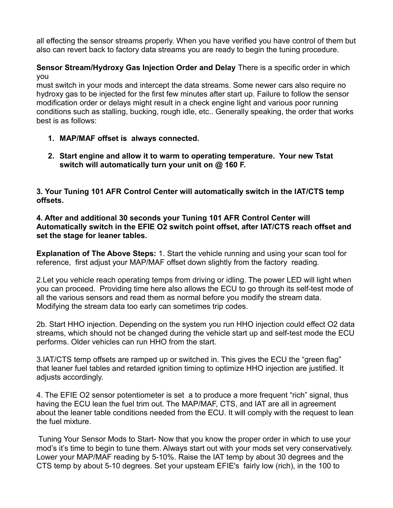all effecting the sensor streams properly. When you have verified you have control of them but also can revert back to factory data streams you are ready to begin the tuning procedure.

### **Sensor Stream/Hydroxy Gas Injection Order and Delay** There is a specific order in which you

must switch in your mods and intercept the data streams. Some newer cars also require no hydroxy gas to be injected for the first few minutes after start up. Failure to follow the sensor modification order or delays might result in a check engine light and various poor running conditions such as stalling, bucking, rough idle, etc.. Generally speaking, the order that works best is as follows:

- **1. MAP/MAF offset is always connected.**
- **2. Start engine and allow it to warm to operating temperature. Your new Tstat switch will automatically turn your unit on @ 160 F.**

**3. Your Tuning 101 AFR Control Center will automatically switch in the IAT/CTS temp offsets.** 

**4. After and additional 30 seconds your Tuning 101 AFR Control Center will Automatically switch in the EFIE O2 switch point offset, after IAT/CTS reach offset and set the stage for leaner tables.** 

**Explanation of The Above Steps:** 1. Start the vehicle running and using your scan tool for reference, first adjust your MAP/MAF offset down slightly from the factory reading.

2.Let you vehicle reach operating temps from driving or idling. The power LED will light when you can proceed. Providing time here also allows the ECU to go through its self-test mode of all the various sensors and read them as normal before you modify the stream data. Modifying the stream data too early can sometimes trip codes.

2b. Start HHO injection. Depending on the system you run HHO injection could effect O2 data streams, which should not be changed during the vehicle start up and self-test mode the ECU performs. Older vehicles can run HHO from the start.

3.IAT/CTS temp offsets are ramped up or switched in. This gives the ECU the "green flag" that leaner fuel tables and retarded ignition timing to optimize HHO injection are justified. It adjusts accordingly.

4. The EFIE O2 sensor potentiometer is set a to produce a more frequent "rich" signal, thus having the ECU lean the fuel trim out. The MAP/MAF, CTS, and IAT are all in agreement about the leaner table conditions needed from the ECU. It will comply with the request to lean the fuel mixture.

 Tuning Your Sensor Mods to Start- Now that you know the proper order in which to use your mod's it's time to begin to tune them. Always start out with your mods set very conservatively. Lower your MAP/MAF reading by 5-10%. Raise the IAT temp by about 30 degrees and the CTS temp by about 5-10 degrees. Set your upsteam EFIE's fairly low (rich), in the 100 to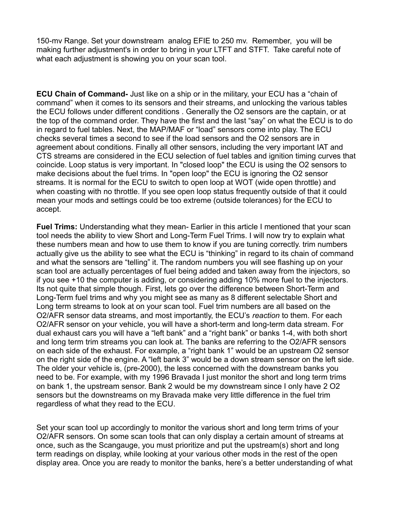150-mv Range. Set your downstream analog EFIE to 250 mv. Remember, you will be making further adjustment's in order to bring in your LTFT and STFT. Take careful note of what each adjustment is showing you on your scan tool.

**ECU Chain of Command-** Just like on a ship or in the military, your ECU has a "chain of command" when it comes to its sensors and their streams, and unlocking the various tables the ECU follows under different conditions . Generally the O2 sensors are the captain, or at the top of the command order. They have the first and the last "say" on what the ECU is to do in regard to fuel tables. Next, the MAP/MAF or "load" sensors come into play. The ECU checks several times a second to see if the load sensors and the O2 sensors are in agreement about conditions. Finally all other sensors, including the very important IAT and CTS streams are considered in the ECU selection of fuel tables and ignition timing curves that coincide. Loop status is very important. In "closed loop" the ECU is using the O2 sensors to make decisions about the fuel trims. In "open loop" the ECU is ignoring the O2 sensor streams. It is normal for the ECU to switch to open loop at WOT (wide open throttle) and when coasting with no throttle. If you see open loop status frequently outside of that it could mean your mods and settings could be too extreme (outside tolerances) for the ECU to accept.

**Fuel Trims:** Understanding what they mean- Earlier in this article I mentioned that your scan tool needs the ability to view Short and Long-Term Fuel Trims. I will now try to explain what these numbers mean and how to use them to know if you are tuning correctly. trim numbers actually give us the ability to see what the ECU is "thinking" in regard to its chain of command and what the sensors are "telling" it. The random numbers you will see flashing up on your scan tool are actually percentages of fuel being added and taken away from the injectors, so if you see +10 the computer is adding, or considering adding 10% more fuel to the injectors. Its not quite that simple though. First, lets go over the difference between Short-Term and Long-Term fuel trims and why you might see as many as 8 different selectable Short and Long term streams to look at on your scan tool. Fuel trim numbers are all based on the O2/AFR sensor data streams, and most importantly, the ECU's *reaction* to them. For each O2/AFR sensor on your vehicle, you will have a short-term and long-term data stream. For dual exhaust cars you will have a "left bank" and a "right bank" or banks 1-4, with both short and long term trim streams you can look at. The banks are referring to the O2/AFR sensors on each side of the exhaust. For example, a "right bank 1" would be an upstream O2 sensor on the right side of the engine. A "left bank 3" would be a down stream sensor on the left side. The older your vehicle is, (pre-2000), the less concerned with the downstream banks you need to be. For example, with my 1996 Bravada I just monitor the short and long term trims on bank 1, the upstream sensor. Bank 2 would be my downstream since I only have 2 O2 sensors but the downstreams on my Bravada make very little difference in the fuel trim regardless of what they read to the ECU.

Set your scan tool up accordingly to monitor the various short and long term trims of your O2/AFR sensors. On some scan tools that can only display a certain amount of streams at once, such as the Scangauge, you must prioritize and put the upstream(s) short and long term readings on display, while looking at your various other mods in the rest of the open display area. Once you are ready to monitor the banks, here's a better understanding of what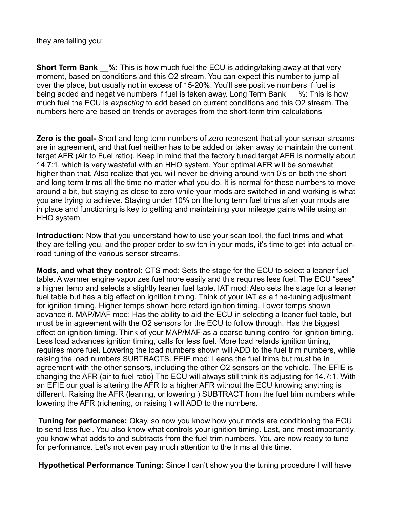they are telling you:

**Short Term Bank \_\_%:** This is how much fuel the ECU is adding/taking away at that very moment, based on conditions and this O2 stream. You can expect this number to jump all over the place, but usually not in excess of 15-20%. You'll see positive numbers if fuel is being added and negative numbers if fuel is taken away. Long Term Bank \_\_ %: This is how much fuel the ECU is *expecting* to add based on current conditions and this O2 stream. The numbers here are based on trends or averages from the short-term trim calculations

**Zero is the goal-** Short and long term numbers of zero represent that all your sensor streams are in agreement, and that fuel neither has to be added or taken away to maintain the current target AFR (Air to Fuel ratio). Keep in mind that the factory tuned target AFR is normally about 14.7:1, which is very wasteful with an HHO system. Your optimal AFR will be somewhat higher than that. Also realize that you will never be driving around with 0's on both the short and long term trims all the time no matter what you do. It is normal for these numbers to move around a bit, but staying as close to zero while your mods are switched in and working is what you are trying to achieve. Staying under 10% on the long term fuel trims after your mods are in place and functioning is key to getting and maintaining your mileage gains while using an HHO system.

**Introduction:** Now that you understand how to use your scan tool, the fuel trims and what they are telling you, and the proper order to switch in your mods, it's time to get into actual onroad tuning of the various sensor streams.

**Mods, and what they control:** CTS mod: Sets the stage for the ECU to select a leaner fuel table. A warmer engine vaporizes fuel more easily and this requires less fuel. The ECU "sees" a higher temp and selects a slightly leaner fuel table. IAT mod: Also sets the stage for a leaner fuel table but has a big effect on ignition timing. Think of your IAT as a fine-tuning adjustment for ignition timing. Higher temps shown here retard ignition timing. Lower temps shown advance it. MAP/MAF mod: Has the ability to aid the ECU in selecting a leaner fuel table, but must be in agreement with the O2 sensors for the ECU to follow through. Has the biggest effect on ignition timing. Think of your MAP/MAF as a coarse tuning control for ignition timing. Less load advances ignition timing, calls for less fuel. More load retards ignition timing, requires more fuel. Lowering the load numbers shown will ADD to the fuel trim numbers, while raising the load numbers SUBTRACTS. EFIE mod: Leans the fuel trims but must be in agreement with the other sensors, including the other O2 sensors on the vehicle. The EFIE is changing the AFR (air to fuel ratio) The ECU will always still think it's adjusting for 14.7:1. With an EFIE our goal is altering the AFR to a higher AFR without the ECU knowing anything is different. Raising the AFR (leaning, or lowering ) SUBTRACT from the fuel trim numbers while lowering the AFR (richening, or raising ) will ADD to the numbers.

**Tuning for performance:** Okay, so now you know how your mods are conditioning the ECU to send less fuel. You also know what controls your ignition timing. Last, and most importantly, you know what adds to and subtracts from the fuel trim numbers. You are now ready to tune for performance. Let's not even pay much attention to the trims at this time.

**Hypothetical Performance Tuning:** Since I can't show you the tuning procedure I will have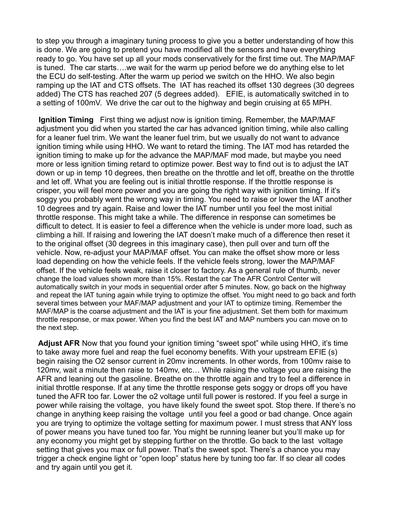to step you through a imaginary tuning process to give you a better understanding of how this is done. We are going to pretend you have modified all the sensors and have everything ready to go. You have set up all your mods conservatively for the first time out. The MAP/MAF is tuned. The car starts….we wait for the warm up period before we do anything else to let the ECU do self-testing. After the warm up period we switch on the HHO. We also begin ramping up the IAT and CTS offsets. The IAT has reached its offset 130 degrees (30 degrees added) The CTS has reached 207 (5 degrees added). EFIE, is automatically switched in to a setting of 100mV. We drive the car out to the highway and begin cruising at 65 MPH.

**Ignition Timing** First thing we adjust now is ignition timing. Remember, the MAP/MAF adjustment you did when you started the car has advanced ignition timing, while also calling for a leaner fuel trim. We want the leaner fuel trim, but we usually do not want to advance ignition timing while using HHO. We want to retard the timing. The IAT mod has retarded the ignition timing to make up for the advance the MAP/MAF mod made, but maybe you need more or less ignition timing retard to optimize power. Best way to find out is to adjust the IAT down or up in temp 10 degrees, then breathe on the throttle and let off, breathe on the throttle and let off. What you are feeling out is initial throttle response. If the throttle response is crisper, you will feel more power and you are going the right way with ignition timing. If it's soggy you probably went the wrong way in timing. You need to raise or lower the IAT another 10 degrees and try again. Raise and lower the IAT number until you feel the most initial throttle response. This might take a while. The difference in response can sometimes be difficult to detect. It is easier to feel a difference when the vehicle is under more load, such as climbing a hill. If raising and lowering the IAT doesn't make much of a difference then reset it to the original offset (30 degrees in this imaginary case), then pull over and turn off the vehicle. Now, re-adjust your MAP/MAF offset. You can make the offset show more or less load depending on how the vehicle feels. If the vehicle feels strong, lower the MAP/MAF offset. If the vehicle feels weak, raise it closer to factory. As a general rule of thumb, never change the load values shown more than 15%. Restart the car The AFR Control Center will automatically switch in your mods in sequential order after 5 minutes. Now, go back on the highway and repeat the IAT tuning again while trying to optimize the offset. You might need to go back and forth several times between your MAF/MAP adjustment and your IAT to optimize timing. Remember the MAF/MAP is the coarse adjustment and the IAT is your fine adjustment. Set them both for maximum throttle response, or max power. When you find the best IAT and MAP numbers you can move on to the next step.

**Adjust AFR** Now that you found your ignition timing "sweet spot" while using HHO, it's time to take away more fuel and reap the fuel economy benefits. With your upstream EFIE (s) begin raising the O2 sensor current in 20mv increments. In other words, from 100mv raise to 120mv, wait a minute then raise to 140mv, etc… While raising the voltage you are raising the AFR and leaning out the gasoline. Breathe on the throttle again and try to feel a difference in initial throttle response. If at any time the throttle response gets soggy or drops off you have tuned the AFR too far. Lower the o2 voltage until full power is restored. If you feel a surge in power while raising the voltage, you have likely found the sweet spot. Stop there. If there's no change in anything keep raising the voltage until you feel a good or bad change. Once again you are trying to optimize the voltage setting for maximum power. I must stress that ANY loss of power means you have tuned too far. You might be running leaner but you'll make up for any economy you might get by stepping further on the throttle. Go back to the last voltage setting that gives you max or full power. That's the sweet spot. There's a chance you may trigger a check engine light or "open loop" status here by tuning too far. If so clear all codes and try again until you get it.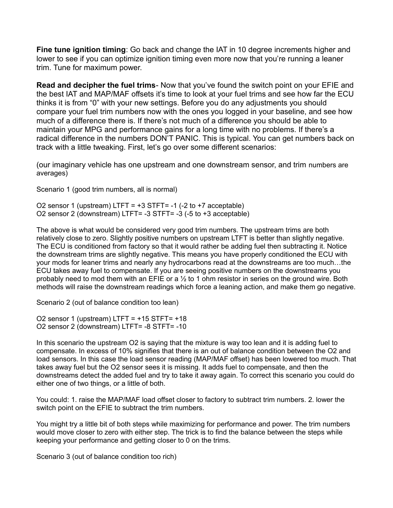**Fine tune ignition timing**: Go back and change the IAT in 10 degree increments higher and lower to see if you can optimize ignition timing even more now that you're running a leaner trim. Tune for maximum power.

**Read and decipher the fuel trims**- Now that you've found the switch point on your EFIE and the best IAT and MAP/MAF offsets it's time to look at your fuel trims and see how far the ECU thinks it is from "0" with your new settings. Before you do any adjustments you should compare your fuel trim numbers now with the ones you logged in your baseline, and see how much of a difference there is. If there's not much of a difference you should be able to maintain your MPG and performance gains for a long time with no problems. If there's a radical difference in the numbers DON'T PANIC. This is typical. You can get numbers back on track with a little tweaking. First, let's go over some different scenarios:

(our imaginary vehicle has one upstream and one downstream sensor, and trim numbers are averages)

Scenario 1 (good trim numbers, all is normal)

O2 sensor 1 (upstream) LTFT =  $+3$  STFT= -1 (-2 to  $+7$  acceptable) O2 sensor 2 (downstream) LTFT= -3 STFT= -3 (-5 to +3 acceptable)

The above is what would be considered very good trim numbers. The upstream trims are both relatively close to zero. Slightly positive numbers on upstream LTFT is better than slightly negative. The ECU is conditioned from factory so that it would rather be adding fuel then subtracting it. Notice the downstream trims are slightly negative. This means you have properly conditioned the ECU with your mods for leaner trims and nearly any hydrocarbons read at the downstreams are too much…the ECU takes away fuel to compensate. If you are seeing positive numbers on the downstreams you probably need to mod them with an EFIE or a  $\frac{1}{2}$  to 1 ohm resistor in series on the ground wire. Both methods will raise the downstream readings which force a leaning action, and make them go negative.

Scenario 2 (out of balance condition too lean)

O2 sensor 1 (upstream) LTFT = +15 STFT= +18 O2 sensor 2 (downstream) LTFT= -8 STFT= -10

In this scenario the upstream O2 is saying that the mixture is way too lean and it is adding fuel to compensate. In excess of 10% signifies that there is an out of balance condition between the O2 and load sensors. In this case the load sensor reading (MAP/MAF offset) has been lowered too much. That takes away fuel but the O2 sensor sees it is missing. It adds fuel to compensate, and then the downstreams detect the added fuel and try to take it away again. To correct this scenario you could do either one of two things, or a little of both.

You could: 1. raise the MAP/MAF load offset closer to factory to subtract trim numbers. 2. lower the switch point on the EFIE to subtract the trim numbers.

You might try a little bit of both steps while maximizing for performance and power. The trim numbers would move closer to zero with either step. The trick is to find the balance between the steps while keeping your performance and getting closer to 0 on the trims.

Scenario 3 (out of balance condition too rich)